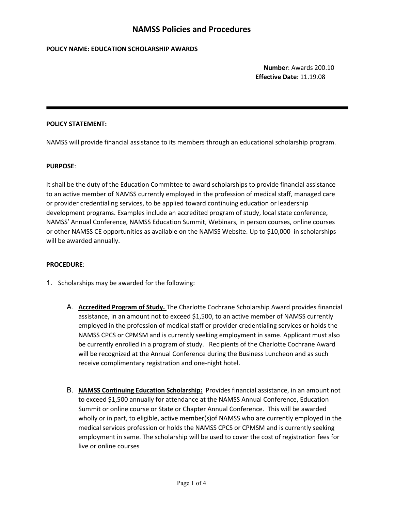## **POLICY NAME: EDUCATION SCHOLARSHIP AWARDS**

**Number**: Awards 200.10 **Effective Date**: 11.19.08

## **POLICY STATEMENT:**

NAMSS will provide financial assistance to its members through an educational scholarship program.

### **PURPOSE**:

It shall be the duty of the Education Committee to award scholarships to provide financial assistance to an active member of NAMSS currently employed in the profession of medical staff, managed care or provider credentialing services, to be applied toward continuing education or leadership development programs. Examples include an accredited program of study, local state conference, NAMSS' Annual Conference, NAMSS Education Summit, Webinars, in person courses, online courses or other NAMSS CE opportunities as available on the NAMSS Website. Up to \$10,000 in scholarships will be awarded annually.

#### **PROCEDURE**:

- 1. Scholarships may be awarded for the following:
	- A. **Accredited Program of Study.** The Charlotte Cochrane Scholarship Award provides financial assistance, in an amount not to exceed \$1,500, to an active member of NAMSS currently employed in the profession of medical staff or provider credentialing services or holds the NAMSS CPCS or CPMSM and is currently seeking employment in same. Applicant must also be currently enrolled in a program of study. Recipients of the Charlotte Cochrane Award will be recognized at the Annual Conference during the Business Luncheon and as such receive complimentary registration and one-night hotel.
	- B. **NAMSS Continuing Education Scholarship:** Provides financial assistance, in an amount not to exceed \$1,500 annually for attendance at the NAMSS Annual Conference, Education Summit or online course or State or Chapter Annual Conference. This will be awarded wholly or in part, to eligible, active member(s)of NAMSS who are currently employed in the medical services profession or holds the NAMSS CPCS or CPMSM and is currently seeking employment in same. The scholarship will be used to cover the cost of registration fees for live or online courses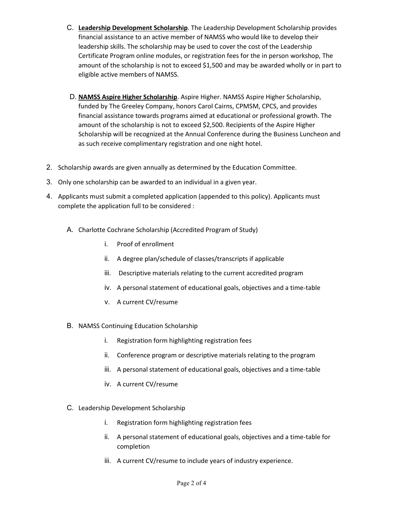- C. **Leadership Development Scholarship**. The Leadership Development Scholarship provides financial assistance to an active member of NAMSS who would like to develop their leadership skills. The scholarship may be used to cover the cost of the Leadership Certificate Program online modules, or registration fees for the in person workshop, The amount of the scholarship is not to exceed \$1,500 and may be awarded wholly or in part to eligible active members of NAMSS.
- D. **NAMSS Aspire Higher Scholarship**. Aspire Higher. NAMSS Aspire Higher Scholarship, funded by The Greeley Company, honors Carol Cairns, CPMSM, CPCS, and provides financial assistance towards programs aimed at educational or professional growth. The amount of the scholarship is not to exceed \$2,500. Recipients of the Aspire Higher Scholarship will be recognized at the Annual Conference during the Business Luncheon and as such receive complimentary registration and one night hotel.
- 2. Scholarship awards are given annually as determined by the Education Committee.
- 3. Only one scholarship can be awarded to an individual in a given year.
- 4. Applicants must submit a completed application (appended to this policy). Applicants must complete the application full to be considered :
	- A. Charlotte Cochrane Scholarship (Accredited Program of Study)
		- i. Proof of enrollment
		- ii. A degree plan/schedule of classes/transcripts if applicable
		- iii. Descriptive materials relating to the current accredited program
		- iv. A personal statement of educational goals, objectives and a time-table
		- v. A current CV/resume
	- B. NAMSS Continuing Education Scholarship
		- i. Registration form highlighting registration fees
		- ii. Conference program or descriptive materials relating to the program
		- iii. A personal statement of educational goals, objectives and a time-table
		- iv. A current CV/resume
	- C. Leadership Development Scholarship
		- i. Registration form highlighting registration fees
		- ii. A personal statement of educational goals, objectives and a time-table for completion
		- iii. A current CV/resume to include years of industry experience.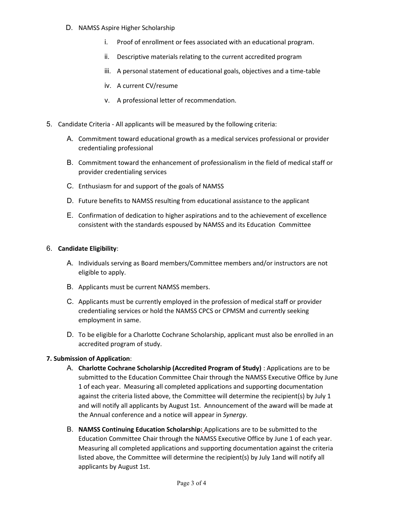- D. NAMSS Aspire Higher Scholarship
	- i. Proof of enrollment or fees associated with an educational program.
	- ii. Descriptive materials relating to the current accredited program
	- iii. A personal statement of educational goals, objectives and a time-table
	- iv. A current CV/resume
	- v. A professional letter of recommendation.
- 5. Candidate Criteria All applicants will be measured by the following criteria:
	- A. Commitment toward educational growth as a medical services professional or provider credentialing professional
	- B. Commitment toward the enhancement of professionalism in the field of medical staff or provider credentialing services
	- C. Enthusiasm for and support of the goals of NAMSS
	- D. Future benefits to NAMSS resulting from educational assistance to the applicant
	- E. Confirmation of dedication to higher aspirations and to the achievement of excellence consistent with the standards espoused by NAMSS and its Education Committee

## 6. **Candidate Eligibility**:

- A. Individuals serving as Board members/Committee members and/or instructors are not eligible to apply.
- B. Applicants must be current NAMSS members.
- C. Applicants must be currently employed in the profession of medical staff or provider credentialing services or hold the NAMSS CPCS or CPMSM and currently seeking employment in same.
- D. To be eligible for a Charlotte Cochrane Scholarship, applicant must also be enrolled in an accredited program of study.

# **7. Submission of Application**:

- A. **Charlotte Cochrane Scholarship (Accredited Program of Study)** : Applications are to be submitted to the Education Committee Chair through the NAMSS Executive Office by June 1 of each year. Measuring all completed applications and supporting documentation against the criteria listed above, the Committee will determine the recipient(s) by July 1 and will notify all applicants by August 1st. Announcement of the award will be made at the Annual conference and a notice will appear in *Synergy*.
- B. **NAMSS Continuing Education Scholarship:** Applications are to be submitted to the Education Committee Chair through the NAMSS Executive Office by June 1 of each year. Measuring all completed applications and supporting documentation against the criteria listed above, the Committee will determine the recipient(s) by July 1and will notify all applicants by August 1st.